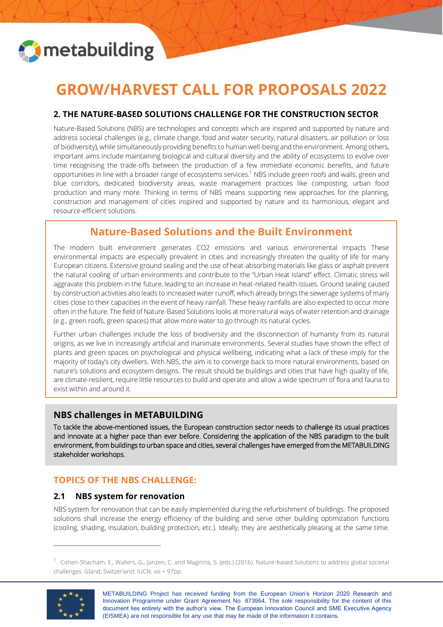

# **GROW/HARVEST CALL FOR PROPOSALS 2022**

## **2. THE NATURE-BASED SOLUTIONS CHALLENGE FOR THE CONSTRUCTION SECTOR**

Nature-Based Solutions (NBS) are technologies and concepts which are inspired and supported by nature and address societal challenges (e.g., climate change, food and water security, natural disasters, air pollution or loss of biodiversity), while simultaneously providing benefits to human well-being and the environment. Among others, important aims include maintaining biological and cultural diversity and the ability of ecosystems to evolve over time recognising the trade-offs between the production of a few immediate economic benefits, and future opportunities in line with a broader range of ecosystems services.<sup>1</sup> NBS include green roofs and walls, green and blue corridors, dedicated biodiversity areas, waste management practices like composting, urban food production and many more. Thinking in terms of NBS means supporting new approaches for the planning, construction and management of cities inspired and supported by nature and its harmonious, elegant and resource-efficient solutions.

## **Nature-Based Solutions and the Built Environment**

The modern built environment generates CO2 emissions and various environmental impacts These environmental impacts are especially prevalent in cities and increasingly threaten the quality of life for many European citizens. Extensive ground sealing and the use of heat-absorbing materials like glass or asphalt prevent the natural cooling of urban environments and contribute to the "Urban Heat Island" effect. Climatic stress will aggravate this problem in the future, leading to an increase in heat-related health issues. Ground sealing caused by construction activities also leads to increased water runoff, which already brings the sewerage systems of many cities close to their capacities in the event of heavy rainfall. These heavy rainfalls are also expected to occur more often in the future. The field of Nature-Based Solutions looks at more natural ways of water retention and drainage (e.g., green roofs, green spaces) that allow more water to go through its natural cycles.

Further urban challenges include the loss of biodiversity and the disconnection of humanity from its natural origins, as we live in increasingly artificial and inanimate environments. Several studies have shown the effect of plants and green spaces on psychological and physical wellbeing, indicating what a lack of these imply for the majority of today's city dwellers. With NBS, the aim is to converge back to more natural environments, based on nature's solutions and ecosystem designs. The result should be buildings and cities that have high quality of life, are climate-resilient, require little resources to build and operate and allow a wide spectrum of flora and fauna to exist within and around it.

## **NBS challenges in METABUILDING**

To tackle the above-mentioned issues, the European construction sector needs to challenge its usual practices and innovate at a higher pace than ever before. Considering the application of the NBS paradigm to the built environment, from buildings to urban space and cities, several challenges have emerged from the METABUILDING stakeholder workshops.

## **TOPICS OF THE NBS CHALLENGE:**

#### **2.1 NBS system for renovation**

NBS system for renovation that can be easily implemented during the refurbishment of buildings. The proposed solutions shall increase the energy efficiency of the building and serve other building optimization functions (cooling, shading, insulation, building protection, etc.). Ideally, they are aesthetically pleasing at the same time.

<sup>&</sup>lt;sup>1</sup> Cohen-Shacham, E., Walters, G., Janzen, C. and Maginnis, S. (eds.) (2016). Nature-based Solutions to address global societal challenges. Gland, Switzerland: IUCN. xiii + 97pp.



Ξ

METABUILDING Project has received funding from the European Union's Horizon 2020 Research and Innovation Programme under Grant Agreement No. 873964. The sole responsibility for the content of this document lies entirely with the author's view. The European Innovation Council and SME Executive Agency (EISMEA) are not responsible for any use that may be made of the information it contains.